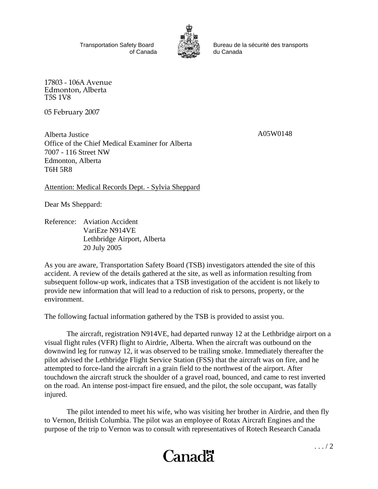Transportation Safety Board of Canada



Bureau de la sécurité des transports du Canada

17803 - 106A Avenue Edmonton, Alberta T5S 1V8

05 February 2007

Alberta Justice Office of the Chief Medical Examiner for Alberta 7007 - 116 Street NW Edmonton, Alberta T6H 5R8

A05W0148

Attention: Medical Records Dept. - Sylvia Sheppard

Dear Ms Sheppard:

Reference: Aviation Accident VariEze N914VE Lethbridge Airport, Alberta 20 July 2005

As you are aware, Transportation Safety Board (TSB) investigators attended the site of this accident. A review of the details gathered at the site, as well as information resulting from subsequent follow-up work, indicates that a TSB investigation of the accident is not likely to provide new information that will lead to a reduction of risk to persons, property, or the environment.

The following factual information gathered by the TSB is provided to assist you.

The aircraft, registration N914VE, had departed runway 12 at the Lethbridge airport on a visual flight rules (VFR) flight to Airdrie, Alberta. When the aircraft was outbound on the downwind leg for runway 12, it was observed to be trailing smoke. Immediately thereafter the pilot advised the Lethbridge Flight Service Station (FSS) that the aircraft was on fire, and he attempted to force-land the aircraft in a grain field to the northwest of the airport. After touchdown the aircraft struck the shoulder of a gravel road, bounced, and came to rest inverted on the road. An intense post-impact fire ensued, and the pilot, the sole occupant, was fatally injured.

The pilot intended to meet his wife, who was visiting her brother in Airdrie, and then fly to Vernon, British Columbia. The pilot was an employee of Rotax Aircraft Engines and the purpose of the trip to Vernon was to consult with representatives of Rotech Research Canada

## Canadä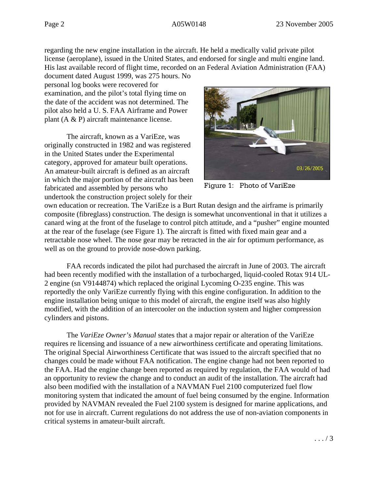regarding the new engine installation in the aircraft. He held a medically valid private pilot license (aeroplane), issued in the United States, and endorsed for single and multi engine land. His last available record of flight time, recorded on an Federal Aviation Administration (FAA)

document dated August 1999, was 275 hours. No personal log books were recovered for examination, and the pilot's total flying time on the date of the accident was not determined. The pilot also held a U. S. FAA Airframe and Power plant (A & P) aircraft maintenance license.

The aircraft, known as a VariEze, was originally constructed in 1982 and was registered in the United States under the Experimental category, approved for amateur built operations. An amateur-built aircraft is defined as an aircraft in which the major portion of the aircraft has been fabricated and assembled by persons who undertook the construction project solely for their



Figure 1: Photo of VariEze

own education or recreation. The VariEze is a Burt Rutan design and the airframe is primarily composite (fibreglass) construction. The design is somewhat unconventional in that it utilizes a canard wing at the front of the fuselage to control pitch attitude, and a "pusher" engine mounted at the rear of the fuselage (see Figure 1). The aircraft is fitted with fixed main gear and a retractable nose wheel. The nose gear may be retracted in the air for optimum performance, as well as on the ground to provide nose-down parking.

FAA records indicated the pilot had purchased the aircraft in June of 2003. The aircraft had been recently modified with the installation of a turbocharged, liquid-cooled Rotax 914 UL-2 engine (sn V9144874) which replaced the original Lycoming O-235 engine. This was reportedly the only VariEze currently flying with this engine configuration. In addition to the engine installation being unique to this model of aircraft, the engine itself was also highly modified, with the addition of an intercooler on the induction system and higher compression cylinders and pistons.

The *VariEze Owner's Manual* states that a major repair or alteration of the VariEze requires re licensing and issuance of a new airworthiness certificate and operating limitations. The original Special Airworthiness Certificate that was issued to the aircraft specified that no changes could be made without FAA notification. The engine change had not been reported to the FAA. Had the engine change been reported as required by regulation, the FAA would of had an opportunity to review the change and to conduct an audit of the installation. The aircraft had also been modified with the installation of a NAVMAN Fuel 2100 computerized fuel flow monitoring system that indicated the amount of fuel being consumed by the engine. Information provided by NAVMAN revealed the Fuel 2100 system is designed for marine applications, and not for use in aircraft. Current regulations do not address the use of non-aviation components in critical systems in amateur-built aircraft.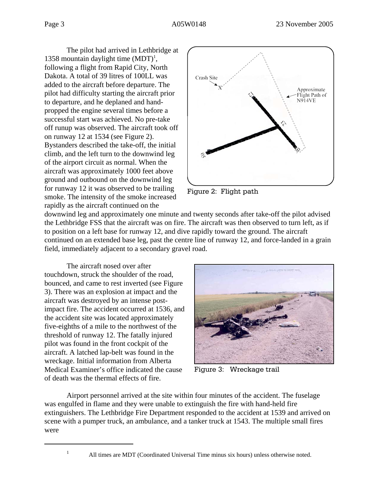The pilot had arrived in Lethbridge at 1358 mountain daylight time  $(MDT)^1$ , following a flight from Rapid City, North Dakota. A total of 39 litres of 100LL was added to the aircraft before departure. The pilot had difficulty starting the aircraft prior to departure, and he deplaned and handpropped the engine several times before a successful start was achieved. No pre-take off runup was observed. The aircraft took off on runway 12 at 1534 (see Figure 2). Bystanders described the take-off, the initial climb, and the left turn to the downwind leg of the airport circuit as normal. When the aircraft was approximately 1000 feet above ground and outbound on the downwind leg for runway 12 it was observed to be trailing smoke. The intensity of the smoke increased rapidly as the aircraft continued on the



Figure 2: Flight path

downwind leg and approximately one minute and twenty seconds after take-off the pilot advised the Lethbridge FSS that the aircraft was on fire. The aircraft was then observed to turn left, as if to position on a left base for runway 12, and dive rapidly toward the ground. The aircraft continued on an extended base leg, past the centre line of runway 12, and force-landed in a grain field, immediately adjacent to a secondary gravel road.

The aircraft nosed over after touchdown, struck the shoulder of the road, bounced, and came to rest inverted (see Figure 3). There was an explosion at impact and the aircraft was destroyed by an intense postimpact fire. The accident occurred at 1536, and the accident site was located approximately five-eighths of a mile to the northwest of the threshold of runway 12. The fatally injured pilot was found in the front cockpit of the aircraft. A latched lap-belt was found in the wreckage. Initial information from Alberta Medical Examiner's office indicated the cause of death was the thermal effects of fire.



Figure 3: Wreckage trail

Airport personnel arrived at the site within four minutes of the accident. The fuselage was engulfed in flame and they were unable to extinguish the fire with hand-held fire extinguishers. The Lethbridge Fire Department responded to the accident at 1539 and arrived on scene with a pumper truck, an ambulance, and a tanker truck at 1543. The multiple small fires were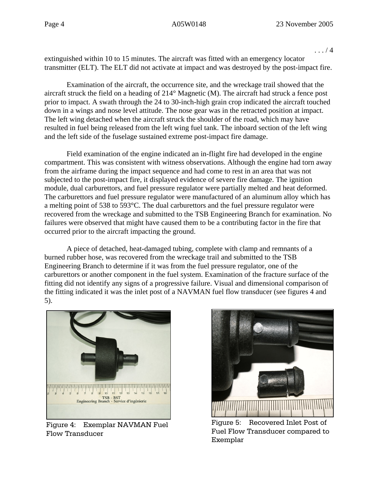. . . / 4

extinguished within 10 to 15 minutes. The aircraft was fitted with an emergency locator transmitter (ELT). The ELT did not activate at impact and was destroyed by the post-impact fire.

Examination of the aircraft, the occurrence site, and the wreckage trail showed that the aircraft struck the field on a heading of 214° Magnetic (M). The aircraft had struck a fence post prior to impact. A swath through the 24 to 30-inch-high grain crop indicated the aircraft touched down in a wings and nose level attitude. The nose gear was in the retracted position at impact. The left wing detached when the aircraft struck the shoulder of the road, which may have resulted in fuel being released from the left wing fuel tank. The inboard section of the left wing and the left side of the fuselage sustained extreme post-impact fire damage.

Field examination of the engine indicated an in-flight fire had developed in the engine compartment. This was consistent with witness observations. Although the engine had torn away from the airframe during the impact sequence and had come to rest in an area that was not subjected to the post-impact fire, it displayed evidence of severe fire damage. The ignition module, dual carburettors, and fuel pressure regulator were partially melted and heat deformed. The carburettors and fuel pressure regulator were manufactured of an aluminum alloy which has a melting point of 538 to 593°C. The dual carburettors and the fuel pressure regulator were recovered from the wreckage and submitted to the TSB Engineering Branch for examination. No failures were observed that might have caused them to be a contributing factor in the fire that occurred prior to the aircraft impacting the ground.

A piece of detached, heat-damaged tubing, complete with clamp and remnants of a burned rubber hose, was recovered from the wreckage trail and submitted to the TSB Engineering Branch to determine if it was from the fuel pressure regulator, one of the carburettors or another component in the fuel system. Examination of the fracture surface of the fitting did not identify any signs of a progressive failure. Visual and dimensional comparison of the fitting indicated it was the inlet post of a NAVMAN fuel flow transducer (see figures 4 and 5).



Figure 4: Exemplar NAVMAN Fuel Flow Transducer



Figure 5: Recovered Inlet Post of Fuel Flow Transducer compared to Exemplar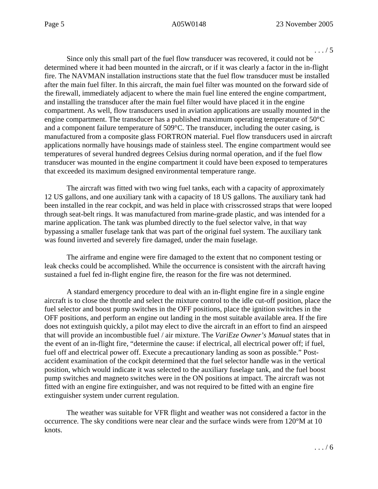. . . / 5

Since only this small part of the fuel flow transducer was recovered, it could not be determined where it had been mounted in the aircraft, or if it was clearly a factor in the in-flight fire. The NAVMAN installation instructions state that the fuel flow transducer must be installed after the main fuel filter. In this aircraft, the main fuel filter was mounted on the forward side of the firewall, immediately adjacent to where the main fuel line entered the engine compartment, and installing the transducer after the main fuel filter would have placed it in the engine compartment. As well, flow transducers used in aviation applications are usually mounted in the engine compartment. The transducer has a published maximum operating temperature of 50°C and a component failure temperature of 509°C. The transducer, including the outer casing, is manufactured from a composite glass FORTRON material. Fuel flow transducers used in aircraft applications normally have housings made of stainless steel. The engine compartment would see temperatures of several hundred degrees Celsius during normal operation, and if the fuel flow transducer was mounted in the engine compartment it could have been exposed to temperatures that exceeded its maximum designed environmental temperature range.

The aircraft was fitted with two wing fuel tanks, each with a capacity of approximately 12 US gallons, and one auxiliary tank with a capacity of 18 US gallons. The auxiliary tank had been installed in the rear cockpit, and was held in place with crisscrossed straps that were looped through seat-belt rings. It was manufactured from marine-grade plastic, and was intended for a marine application. The tank was plumbed directly to the fuel selector valve, in that way bypassing a smaller fuselage tank that was part of the original fuel system. The auxiliary tank was found inverted and severely fire damaged, under the main fuselage.

The airframe and engine were fire damaged to the extent that no component testing or leak checks could be accomplished. While the occurrence is consistent with the aircraft having sustained a fuel fed in-flight engine fire, the reason for the fire was not determined.

A standard emergency procedure to deal with an in-flight engine fire in a single engine aircraft is to close the throttle and select the mixture control to the idle cut-off position, place the fuel selector and boost pump switches in the OFF positions, place the ignition switches in the OFF positions, and perform an engine out landing in the most suitable available area. If the fire does not extinguish quickly, a pilot may elect to dive the aircraft in an effort to find an airspeed that will provide an incombustible fuel / air mixture. The *VariEze Owner's Manual* states that in the event of an in-flight fire, "determine the cause: if electrical, all electrical power off; if fuel, fuel off and electrical power off. Execute a precautionary landing as soon as possible." Postaccident examination of the cockpit determined that the fuel selector handle was in the vertical position, which would indicate it was selected to the auxiliary fuselage tank, and the fuel boost pump switches and magneto switches were in the ON positions at impact. The aircraft was not fitted with an engine fire extinguisher, and was not required to be fitted with an engine fire extinguisher system under current regulation.

The weather was suitable for VFR flight and weather was not considered a factor in the occurrence. The sky conditions were near clear and the surface winds were from 120°M at 10 knots.